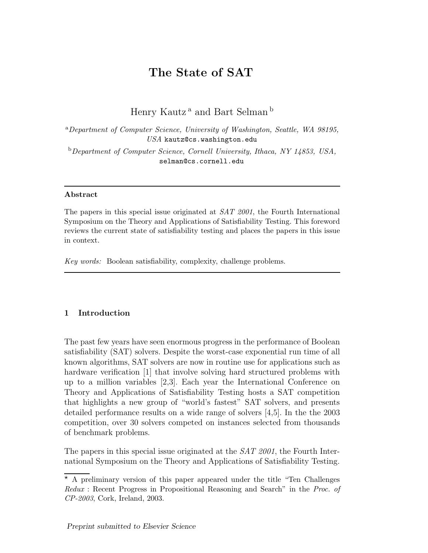# The State of SAT

Henry Kautz<sup>a</sup> and Bart Selman<sup>b</sup>

<sup>a</sup>Department of Computer Science, University of Washington, Seattle, WA 98195, USA kautz@cs.washington.edu

<sup>b</sup>Department of Computer Science, Cornell University, Ithaca, NY 14853, USA, selman@cs.cornell.edu

#### Abstract

The papers in this special issue originated at *SAT 2001*, the Fourth International Symposium on the Theory and Applications of Satisfiability Testing. This foreword reviews the current state of satisfiability testing and places the papers in this issue in context.

Key words: Boolean satisfiability, complexity, challenge problems.

## 1 Introduction

The past few years have seen enormous progress in the performance of Boolean satisfiability (SAT) solvers. Despite the worst-case exponential run time of all known algorithms, SAT solvers are now in routine use for applications such as hardware verification [1] that involve solving hard structured problems with up to a million variables [2,3]. Each year the International Conference on Theory and Applications of Satisfiability Testing hosts a SAT competition that highlights a new group of "world's fastest" SAT solvers, and presents detailed performance results on a wide range of solvers [4,5]. In the the 2003 competition, over 30 solvers competed on instances selected from thousands of benchmark problems.

The papers in this special issue originated at the SAT 2001, the Fourth International Symposium on the Theory and Applications of Satisfiability Testing.

 $\overline{X}$  A preliminary version of this paper appeared under the title "Ten Challenges" Redux : Recent Progress in Propositional Reasoning and Search" in the Proc. of CP-2003, Cork, Ireland, 2003.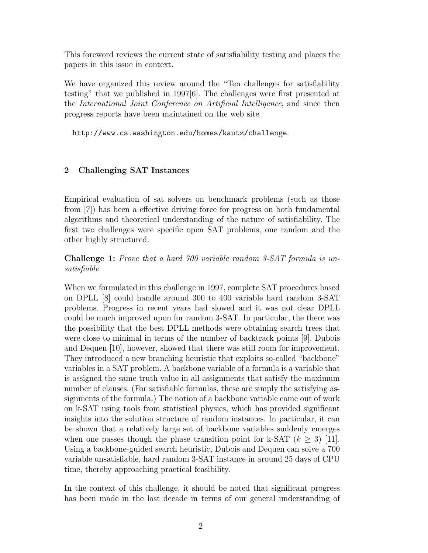This foreword reviews the current state of satisfiability testing and places the papers in this issue in context.

We have organized this review around the "Ten challenges for satisfiability testing" that we published in 1997[6]. The challenges were first presented at the International Joint Conference on Artificial Intelligence, and since then progress reports have been maintained on the web site

http://www.cs.washington.edu/homes/kautz/challenge.

## 2 Challenging SAT Instances

Empirical evaluation of sat solvers on benchmark problems (such as those from [7]) has been a effective driving force for progress on both fundamental algorithms and theoretical understanding of the nature of satisfiability. The first two challenges were specific open SAT problems, one random and the other highly structured.

Challenge 1: Prove that a hard 700 variable random 3-SAT formula is unsatisfiable.

When we formulated in this challenge in 1997, complete SAT procedures based on DPLL [8] could handle around 300 to 400 variable hard random 3-SAT problems. Progress in recent years had slowed and it was not clear DPLL could be much improved upon for random 3-SAT. In particular, the there was the possibility that the best DPLL methods were obtaining search trees that were close to minimal in terms of the number of backtrack points [9]. Dubois and Dequen [10], however, showed that there was still room for improvement. They introduced a new branching heuristic that exploits so-called "backbone" variables in a SAT problem. A backbone variable of a formula is a variable that is assigned the same truth value in all assignments that satisfy the maximum number of clauses. (For satisfiable formulas, these are simply the satisfying assignments of the formula.) The notion of a backbone variable came out of work on k-SAT using tools from statistical physics, which has provided significant insights into the solution structure of random instances. In particular, it can be shown that a relatively large set of backbone variables suddenly emerges when one passes though the phase transition point for k-SAT  $(k > 3)$  [11]. Using a backbone-guided search heuristic, Dubois and Dequen can solve a 700 variable unsatisfiable, hard random 3-SAT instance in around 25 days of CPU time, thereby approaching practical feasibility.

In the context of this challenge, it should be noted that significant progress has been made in the last decade in terms of our general understanding of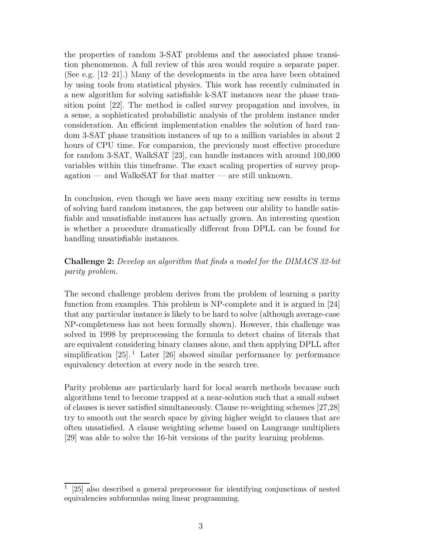the properties of random 3-SAT problems and the associated phase transition phenomenon. A full review of this area would require a separate paper. (See e.g.  $[12-21]$ .) Many of the developments in the area have been obtained by using tools from statistical physics. This work has recently culminated in a new algorithm for solving satisfiable k-SAT instances near the phase transition point [22]. The method is called survey propagation and involves, in a sense, a sophisticated probabilistic analysis of the problem instance under consideration. An efficient implementation enables the solution of hard random 3-SAT phase transition instances of up to a million variables in about 2 hours of CPU time. For comparsion, the previously most effective procedure for random 3-SAT, WalkSAT [23], can handle instances with around 100,000 variables within this timeframe. The exact scaling properties of survey propagation — and WalksSAT for that matter — are still unknown.

In conclusion, even though we have seen many exciting new results in terms of solving hard random instances, the gap between our ability to handle satisfiable and unsatisfiable instances has actually grown. An interesting question is whether a procedure dramatically different from DPLL can be found for handling unsatisfiable instances.

# Challenge 2: Develop an algorithm that finds a model for the DIMACS 32-bit parity problem.

The second challenge problem derives from the problem of learning a parity function from examples. This problem is NP-complete and it is argued in [24] that any particular instance is likely to be hard to solve (although average-case NP-completeness has not been formally shown). However, this challenge was solved in 1998 by preprocessing the formula to detect chains of literals that are equivalent considering binary clauses alone, and then applying DPLL after simplification [25]. Later [26] showed similar performance by performance equivalency detection at every node in the search tree.

Parity problems are particularly hard for local search methods because such algorithms tend to become trapped at a near-solution such that a small subset of clauses is never satisfied simultaneously. Clause re-weighting schemes [27,28] try to smooth out the search space by giving higher weight to clauses that are often unsatisfied. A clause weighting scheme based on Langrange multipliers [29] was able to solve the 16-bit versions of the parity learning problems.

<sup>1</sup> [25] also described a general preprocessor for identifying conjunctions of nested equivalencies subformulas using linear programming.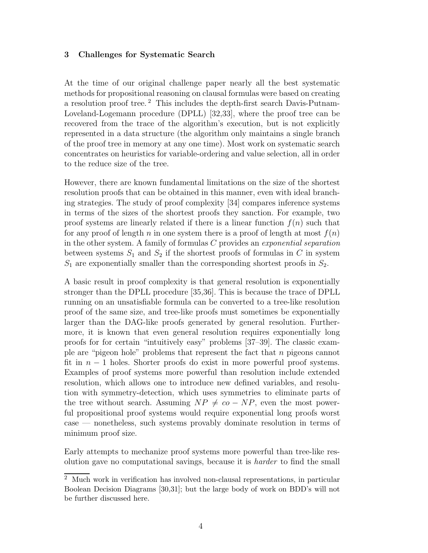#### 3 Challenges for Systematic Search

At the time of our original challenge paper nearly all the best systematic methods for propositional reasoning on clausal formulas were based on creating a resolution proof tree. <sup>2</sup> This includes the depth-first search Davis-Putnam-Loveland-Logemann procedure (DPLL) [32,33], where the proof tree can be recovered from the trace of the algorithm's execution, but is not explicitly represented in a data structure (the algorithm only maintains a single branch of the proof tree in memory at any one time). Most work on systematic search concentrates on heuristics for variable-ordering and value selection, all in order to the reduce size of the tree.

However, there are known fundamental limitations on the size of the shortest resolution proofs that can be obtained in this manner, even with ideal branching strategies. The study of proof complexity [34] compares inference systems in terms of the sizes of the shortest proofs they sanction. For example, two proof systems are linearly related if there is a linear function  $f(n)$  such that for any proof of length n in one system there is a proof of length at most  $f(n)$ in the other system. A family of formulas C provides an exponential separation between systems  $S_1$  and  $S_2$  if the shortest proofs of formulas in C in system  $S_1$  are exponentially smaller than the corresponding shortest proofs in  $S_2$ .

A basic result in proof complexity is that general resolution is exponentially stronger than the DPLL procedure [35,36]. This is because the trace of DPLL running on an unsatisfiable formula can be converted to a tree-like resolution proof of the same size, and tree-like proofs must sometimes be exponentially larger than the DAG-like proofs generated by general resolution. Furthermore, it is known that even general resolution requires exponentially long proofs for for certain "intuitively easy" problems [37–39]. The classic example are "pigeon hole" problems that represent the fact that  $n$  pigeons cannot fit in  $n - 1$  holes. Shorter proofs do exist in more powerful proof systems. Examples of proof systems more powerful than resolution include extended resolution, which allows one to introduce new defined variables, and resolution with symmetry-detection, which uses symmetries to eliminate parts of the tree without search. Assuming  $NP \neq co - NP$ , even the most powerful propositional proof systems would require exponential long proofs worst case — nonetheless, such systems provably dominate resolution in terms of minimum proof size.

Early attempts to mechanize proof systems more powerful than tree-like resolution gave no computational savings, because it is harder to find the small

 $\overline{2}$  Much work in verification has involved non-clausal representations, in particular Boolean Decision Diagrams [30,31]; but the large body of work on BDD's will not be further discussed here.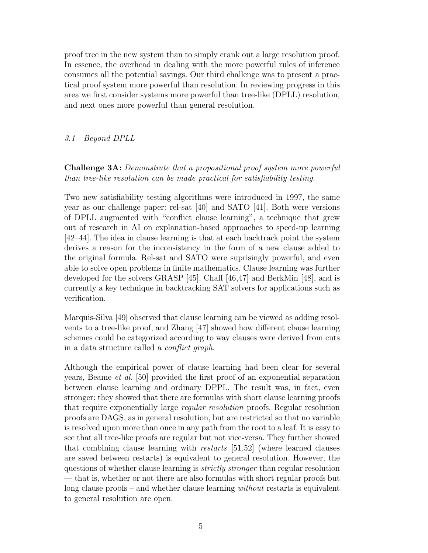proof tree in the new system than to simply crank out a large resolution proof. In essence, the overhead in dealing with the more powerful rules of inference consumes all the potential savings. Our third challenge was to present a practical proof system more powerful than resolution. In reviewing progress in this area we first consider systems more powerful than tree-like (DPLL) resolution, and next ones more powerful than general resolution.

### 3.1 Beyond DPLL

# Challenge 3A: Demonstrate that a propositional proof system more powerful than tree-like resolution can be made practical for satisfiability testing.

Two new satisfiability testing algorithms were introduced in 1997, the same year as our challenge paper: rel-sat [40] and SATO [41]. Both were versions of DPLL augmented with "conflict clause learning", a technique that grew out of research in AI on explanation-based approaches to speed-up learning [42–44]. The idea in clause learning is that at each backtrack point the system derives a reason for the inconsistency in the form of a new clause added to the original formula. Rel-sat and SATO were suprisingly powerful, and even able to solve open problems in finite mathematics. Clause learning was further developed for the solvers GRASP [45], Chaff [46,47] and BerkMin [48], and is currently a key technique in backtracking SAT solvers for applications such as verification.

Marquis-Silva [49] observed that clause learning can be viewed as adding resolvents to a tree-like proof, and Zhang [47] showed how different clause learning schemes could be categorized according to way clauses were derived from cuts in a data structure called a conflict graph.

Although the empirical power of clause learning had been clear for several years, Beame et al. [50] provided the first proof of an exponential separation between clause learning and ordinary DPPL. The result was, in fact, even stronger: they showed that there are formulas with short clause learning proofs that require exponentially large regular resolution proofs. Regular resolution proofs are DAGS, as in general resolution, but are restricted so that no variable is resolved upon more than once in any path from the root to a leaf. It is easy to see that all tree-like proofs are regular but not vice-versa. They further showed that combining clause learning with restarts [51,52] (where learned clauses are saved between restarts) is equivalent to general resolution. However, the questions of whether clause learning is strictly stronger than regular resolution — that is, whether or not there are also formulas with short regular proofs but long clause proofs – and whether clause learning *without* restarts is equivalent to general resolution are open.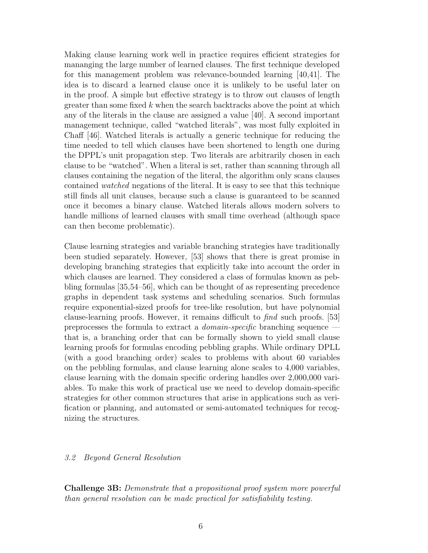Making clause learning work well in practice requires efficient strategies for mananging the large number of learned clauses. The first technique developed for this management problem was relevance-bounded learning [40,41]. The idea is to discard a learned clause once it is unlikely to be useful later on in the proof. A simple but effective strategy is to throw out clauses of length greater than some fixed  $k$  when the search backtracks above the point at which any of the literals in the clause are assigned a value [40]. A second important management technique, called "watched literals", was most fully exploited in Chaff [46]. Watched literals is actually a generic technique for reducing the time needed to tell which clauses have been shortened to length one during the DPPL's unit propagation step. Two literals are arbitrarily chosen in each clause to be "watched". When a literal is set, rather than scanning through all clauses containing the negation of the literal, the algorithm only scans clauses contained watched negations of the literal. It is easy to see that this technique still finds all unit clauses, because such a clause is guaranteed to be scanned once it becomes a binary clause. Watched literals allows modern solvers to handle millions of learned clauses with small time overhead (although space can then become problematic).

Clause learning strategies and variable branching strategies have traditionally been studied separately. However, [53] shows that there is great promise in developing branching strategies that explicitly take into account the order in which clauses are learned. They considered a class of formulas known as pebbling formulas [35,54–56], which can be thought of as representing precedence graphs in dependent task systems and scheduling scenarios. Such formulas require exponential-sized proofs for tree-like resolution, but have polynomial clause-learning proofs. However, it remains difficult to find such proofs. [53] preprocesses the formula to extract a *domain-specific* branching sequence  $$ that is, a branching order that can be formally shown to yield small clause learning proofs for formulas encoding pebbling graphs. While ordinary DPLL (with a good branching order) scales to problems with about 60 variables on the pebbling formulas, and clause learning alone scales to 4,000 variables, clause learning with the domain specific ordering handles over 2,000,000 variables. To make this work of practical use we need to develop domain-specific strategies for other common structures that arise in applications such as verification or planning, and automated or semi-automated techniques for recognizing the structures.

#### 3.2 Beyond General Resolution

Challenge 3B: Demonstrate that a propositional proof system more powerful than general resolution can be made practical for satisfiability testing.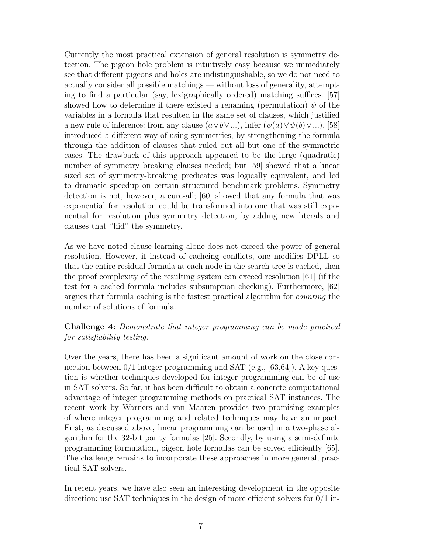Currently the most practical extension of general resolution is symmetry detection. The pigeon hole problem is intuitively easy because we immediately see that different pigeons and holes are indistinguishable, so we do not need to actually consider all possible matchings — without loss of generality, attempting to find a particular (say, lexigraphically ordered) matching suffices. [57] showed how to determine if there existed a renaming (permutation)  $\psi$  of the variables in a formula that resulted in the same set of clauses, which justified a new rule of inference: from any clause  $(a \vee b \vee ...)$ , infer  $(\psi(a) \vee \psi(b) \vee ...)$ . [58] introduced a different way of using symmetries, by strengthening the formula through the addition of clauses that ruled out all but one of the symmetric cases. The drawback of this approach appeared to be the large (quadratic) number of symmetry breaking clauses needed; but [59] showed that a linear sized set of symmetry-breaking predicates was logically equivalent, and led to dramatic speedup on certain structured benchmark problems. Symmetry detection is not, however, a cure-all; [60] showed that any formula that was exponential for resolution could be transformed into one that was still exponential for resolution plus symmetry detection, by adding new literals and clauses that "hid" the symmetry.

As we have noted clause learning alone does not exceed the power of general resolution. However, if instead of cacheing conflicts, one modifies DPLL so that the entire residual formula at each node in the search tree is cached, then the proof complexity of the resulting system can exceed resolution [61] (if the test for a cached formula includes subsumption checking). Furthermore, [62] argues that formula caching is the fastest practical algorithm for counting the number of solutions of formula.

# Challenge 4: Demonstrate that integer programming can be made practical for satisfiability testing.

Over the years, there has been a significant amount of work on the close connection between  $0/1$  integer programming and SAT (e.g., [63,64]). A key question is whether techniques developed for integer programming can be of use in SAT solvers. So far, it has been difficult to obtain a concrete computational advantage of integer programming methods on practical SAT instances. The recent work by Warners and van Maaren provides two promising examples of where integer programming and related techniques may have an impact. First, as discussed above, linear programming can be used in a two-phase algorithm for the 32-bit parity formulas [25]. Secondly, by using a semi-definite programming formulation, pigeon hole formulas can be solved efficiently [65]. The challenge remains to incorporate these approaches in more general, practical SAT solvers.

In recent years, we have also seen an interesting development in the opposite direction: use SAT techniques in the design of more efficient solvers for  $0/1$  in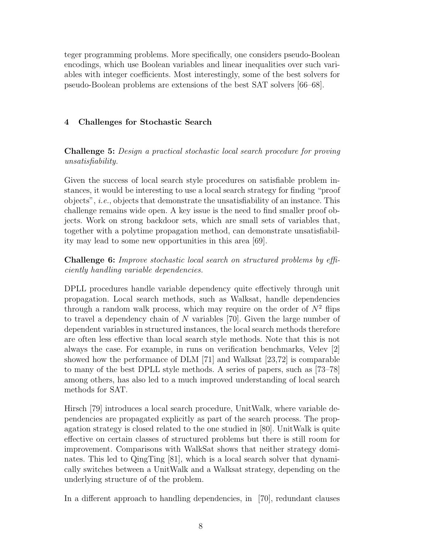teger programming problems. More specifically, one considers pseudo-Boolean encodings, which use Boolean variables and linear inequalities over such variables with integer coefficients. Most interestingly, some of the best solvers for pseudo-Boolean problems are extensions of the best SAT solvers [66–68].

## 4 Challenges for Stochastic Search

Challenge 5: Design a practical stochastic local search procedure for proving unsatisfiability.

Given the success of local search style procedures on satisfiable problem instances, it would be interesting to use a local search strategy for finding "proof objects", i.e., objects that demonstrate the unsatisfiability of an instance. This challenge remains wide open. A key issue is the need to find smaller proof objects. Work on strong backdoor sets, which are small sets of variables that, together with a polytime propagation method, can demonstrate unsatisfiability may lead to some new opportunities in this area [69].

Challenge 6: Improve stochastic local search on structured problems by efficiently handling variable dependencies.

DPLL procedures handle variable dependency quite effectively through unit propagation. Local search methods, such as Walksat, handle dependencies through a random walk process, which may require on the order of  $N^2$  flips to travel a dependency chain of N variables [70]. Given the large number of dependent variables in structured instances, the local search methods therefore are often less effective than local search style methods. Note that this is not always the case. For example, in runs on verification benchmarks, Velev [2] showed how the performance of DLM [71] and Walksat [23,72] is comparable to many of the best DPLL style methods. A series of papers, such as [73–78] among others, has also led to a much improved understanding of local search methods for SAT.

Hirsch [79] introduces a local search procedure, UnitWalk, where variable dependencies are propagated explicitly as part of the search process. The propagation strategy is closed related to the one studied in [80]. UnitWalk is quite effective on certain classes of structured problems but there is still room for improvement. Comparisons with WalkSat shows that neither strategy dominates. This led to QingTing [81], which is a local search solver that dynamically switches between a UnitWalk and a Walksat strategy, depending on the underlying structure of of the problem.

In a different approach to handling dependencies, in [70], redundant clauses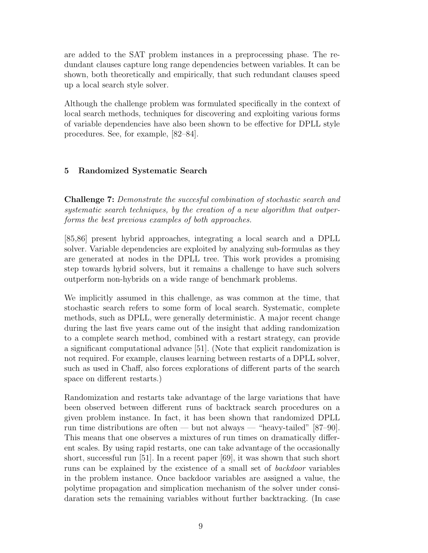are added to the SAT problem instances in a preprocessing phase. The redundant clauses capture long range dependencies between variables. It can be shown, both theoretically and empirically, that such redundant clauses speed up a local search style solver.

Although the challenge problem was formulated specifically in the context of local search methods, techniques for discovering and exploiting various forms of variable dependencies have also been shown to be effective for DPLL style procedures. See, for example, [82–84].

## 5 Randomized Systematic Search

Challenge 7: Demonstrate the succesful combination of stochastic search and systematic search techniques, by the creation of a new algorithm that outperforms the best previous examples of both approaches.

[85,86] present hybrid approaches, integrating a local search and a DPLL solver. Variable dependencies are exploited by analyzing sub-formulas as they are generated at nodes in the DPLL tree. This work provides a promising step towards hybrid solvers, but it remains a challenge to have such solvers outperform non-hybrids on a wide range of benchmark problems.

We implicitly assumed in this challenge, as was common at the time, that stochastic search refers to some form of local search. Systematic, complete methods, such as DPLL, were generally deterministic. A major recent change during the last five years came out of the insight that adding randomization to a complete search method, combined with a restart strategy, can provide a significant computational advance [51]. (Note that explicit randomization is not required. For example, clauses learning between restarts of a DPLL solver, such as used in Chaff, also forces explorations of different parts of the search space on different restarts.)

Randomization and restarts take advantage of the large variations that have been observed between different runs of backtrack search procedures on a given problem instance. In fact, it has been shown that randomized DPLL run time distributions are often — but not always — "heavy-tailed" [87–90]. This means that one observes a mixtures of run times on dramatically different scales. By using rapid restarts, one can take advantage of the occasionally short, successful run [51]. In a recent paper [69], it was shown that such short runs can be explained by the existence of a small set of backdoor variables in the problem instance. Once backdoor variables are assigned a value, the polytime propagation and simplication mechanism of the solver under considaration sets the remaining variables without further backtracking. (In case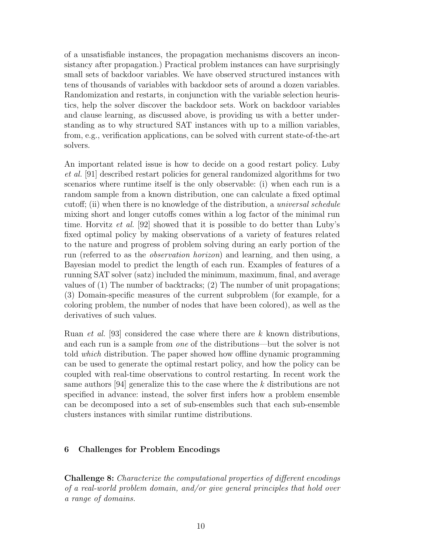of a unsatisfiable instances, the propagation mechanisms discovers an inconsistancy after propagation.) Practical problem instances can have surprisingly small sets of backdoor variables. We have observed structured instances with tens of thousands of variables with backdoor sets of around a dozen variables. Randomization and restarts, in conjunction with the variable selection heuristics, help the solver discover the backdoor sets. Work on backdoor variables and clause learning, as discussed above, is providing us with a better understanding as to why structured SAT instances with up to a million variables, from, e.g., verification applications, can be solved with current state-of-the-art solvers.

An important related issue is how to decide on a good restart policy. Luby et al. [91] described restart policies for general randomized algorithms for two scenarios where runtime itself is the only observable: (i) when each run is a random sample from a known distribution, one can calculate a fixed optimal cutoff; (ii) when there is no knowledge of the distribution, a universal schedule mixing short and longer cutoffs comes within a log factor of the minimal run time. Horvitz *et al.* [92] showed that it is possible to do better than Luby's fixed optimal policy by making observations of a variety of features related to the nature and progress of problem solving during an early portion of the run (referred to as the observation horizon) and learning, and then using, a Bayesian model to predict the length of each run. Examples of features of a running SAT solver (satz) included the minimum, maximum, final, and average values of (1) The number of backtracks; (2) The number of unit propagations; (3) Domain-specific measures of the current subproblem (for example, for a coloring problem, the number of nodes that have been colored), as well as the derivatives of such values.

Ruan *et al.* [93] considered the case where there are  $k$  known distributions, and each run is a sample from one of the distributions—but the solver is not told which distribution. The paper showed how offline dynamic programming can be used to generate the optimal restart policy, and how the policy can be coupled with real-time observations to control restarting. In recent work the same authors [94] generalize this to the case where the k distributions are not specified in advance: instead, the solver first infers how a problem ensemble can be decomposed into a set of sub-ensembles such that each sub-ensemble clusters instances with similar runtime distributions.

## 6 Challenges for Problem Encodings

Challenge 8: Characterize the computational properties of different encodings of a real-world problem domain, and/or give general principles that hold over a range of domains.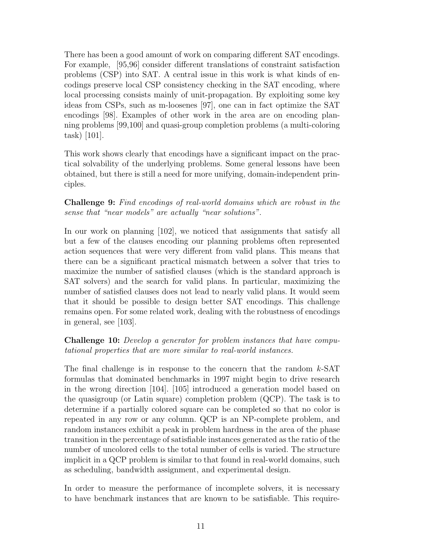There has been a good amount of work on comparing different SAT encodings. For example, [95,96] consider different translations of constraint satisfaction problems (CSP) into SAT. A central issue in this work is what kinds of encodings preserve local CSP consistency checking in the SAT encoding, where local processing consists mainly of unit-propagation. By exploiting some key ideas from CSPs, such as m-loosenes [97], one can in fact optimize the SAT encodings [98]. Examples of other work in the area are on encoding planning problems [99,100] and quasi-group completion problems (a multi-coloring task) [101].

This work shows clearly that encodings have a significant impact on the practical solvability of the underlying problems. Some general lessons have been obtained, but there is still a need for more unifying, domain-independent principles.

Challenge 9: Find encodings of real-world domains which are robust in the sense that "near models" are actually "near solutions".

In our work on planning [102], we noticed that assignments that satisfy all but a few of the clauses encoding our planning problems often represented action sequences that were very different from valid plans. This means that there can be a significant practical mismatch between a solver that tries to maximize the number of satisfied clauses (which is the standard approach is SAT solvers) and the search for valid plans. In particular, maximizing the number of satisfied clauses does not lead to nearly valid plans. It would seem that it should be possible to design better SAT encodings. This challenge remains open. For some related work, dealing with the robustness of encodings in general, see [103].

Challenge 10: Develop a generator for problem instances that have computational properties that are more similar to real-world instances.

The final challenge is in response to the concern that the random  $k$ -SAT formulas that dominated benchmarks in 1997 might begin to drive research in the wrong direction [104]. [105] introduced a generation model based on the quasigroup (or Latin square) completion problem (QCP). The task is to determine if a partially colored square can be completed so that no color is repeated in any row or any column. QCP is an NP-complete problem, and random instances exhibit a peak in problem hardness in the area of the phase transition in the percentage of satisfiable instances generated as the ratio of the number of uncolored cells to the total number of cells is varied. The structure implicit in a QCP problem is similar to that found in real-world domains, such as scheduling, bandwidth assignment, and experimental design.

In order to measure the performance of incomplete solvers, it is necessary to have benchmark instances that are known to be satisfiable. This require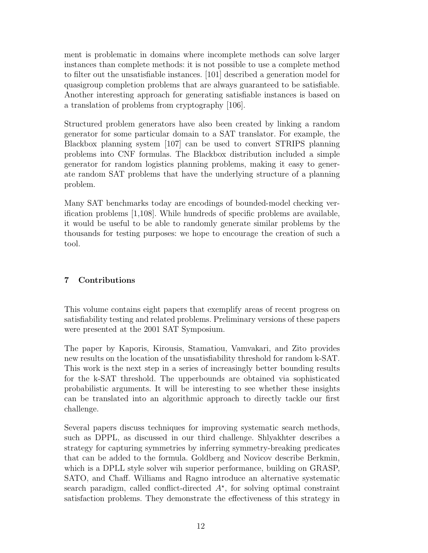ment is problematic in domains where incomplete methods can solve larger instances than complete methods: it is not possible to use a complete method to filter out the unsatisfiable instances. [101] described a generation model for quasigroup completion problems that are always guaranteed to be satisfiable. Another interesting approach for generating satisfiable instances is based on a translation of problems from cryptography [106].

Structured problem generators have also been created by linking a random generator for some particular domain to a SAT translator. For example, the Blackbox planning system [107] can be used to convert STRIPS planning problems into CNF formulas. The Blackbox distribution included a simple generator for random logistics planning problems, making it easy to generate random SAT problems that have the underlying structure of a planning problem.

Many SAT benchmarks today are encodings of bounded-model checking verification problems [1,108]. While hundreds of specific problems are available, it would be useful to be able to randomly generate similar problems by the thousands for testing purposes: we hope to encourage the creation of such a tool.

# 7 Contributions

This volume contains eight papers that exemplify areas of recent progress on satisfiability testing and related problems. Preliminary versions of these papers were presented at the 2001 SAT Symposium.

The paper by Kaporis, Kirousis, Stamatiou, Vamvakari, and Zito provides new results on the location of the unsatisfiability threshold for random k-SAT. This work is the next step in a series of increasingly better bounding results for the k-SAT threshold. The upperbounds are obtained via sophisticated probabilistic arguments. It will be interesting to see whether these insights can be translated into an algorithmic approach to directly tackle our first challenge.

Several papers discuss techniques for improving systematic search methods, such as DPPL, as discussed in our third challenge. Shlyakhter describes a strategy for capturing symmetries by inferring symmetry-breaking predicates that can be added to the formula. Goldberg and Novicov describe Berkmin, which is a DPLL style solver wih superior performance, building on GRASP, SATO, and Chaff. Williams and Ragno introduce an alternative systematic search paradigm, called conflict-directed  $A^*$ , for solving optimal constraint satisfaction problems. They demonstrate the effectiveness of this strategy in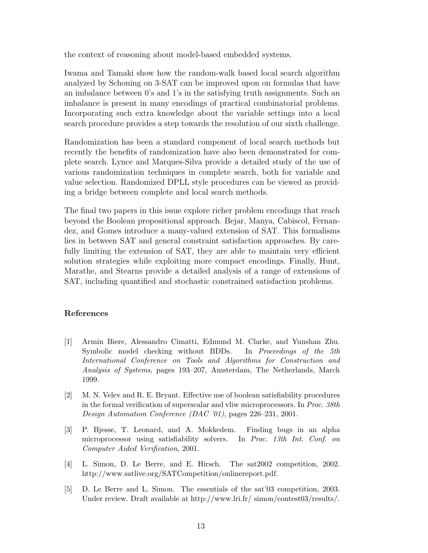the context of reasoning about model-based embedded systems.

Iwama and Tamaki show how the random-walk based local search algorithm analyzed by Schoning on 3-SAT can be improved upon on formulas that have an imbalance between 0's and 1's in the satisfying truth assignments. Such an imbalance is present in many encodings of practical combinatorial problems. Incorporating such extra knowledge about the variable settings into a local search procedure provides a step towards the resolution of our sixth challenge.

Randomization has been a standard component of local search methods but recently the benefits of randomization have also been demonstrated for complete search. Lynce and Marques-Silva provide a detailed study of the use of various randomization techniques in complete search, both for variable and value selection. Randomized DPLL style procedures can be viewed as providing a bridge between complete and local search methods.

The final two papers in this issue explore richer problem encodings that reach beyond the Boolean propositional approach. Bejar, Manya, Cabiscol, Fernandez, and Gomes introduce a many-valued extension of SAT. This formalisms lies in between SAT and general constraint satisfaction approaches. By carefully limiting the extension of SAT, they are able to maintain very efficient solution strategies while exploiting more compact encodings. Finally, Hunt, Marathe, and Stearns provide a detailed analysis of a range of extensions of SAT, including quantified and stochastic constrained satisfaction problems.

## References

- [1] Armin Biere, Alessandro Cimatti, Edmund M. Clarke, and Yunshan Zhu. Symbolic model checking without BDDs. In Proceedings of the 5th International Conference on Tools and Algorithms for Construction and Analysis of Systems, pages 193–207, Amsterdam, The Netherlands, March 1999.
- [2] M. N. Velev and R. E. Bryant. Effective use of boolean satisfiability procedures in the formal verification of superscalar and vliw microprocessors. In Proc. 38th Design Automation Conference (DAC '01), pages 226–231, 2001.
- [3] P. Bjesse, T. Leonard, and A. Mokkedem. Finding bugs in an alpha microprocessor using satisfiability solvers. In Proc. 13th Int. Conf. on Computer Aided Verification, 2001.
- [4] L. Simon, D. Le Berre, and E. Hirsch. The sat2002 competition, 2002. http://www.satlive.org/SATCompetition/onlinereport.pdf.
- [5] D. Le Berre and L. Simon. The essentials of the sat'03 competition, 2003. Under review. Draft available at http://www.lri.fr/ simon/contest03/results/.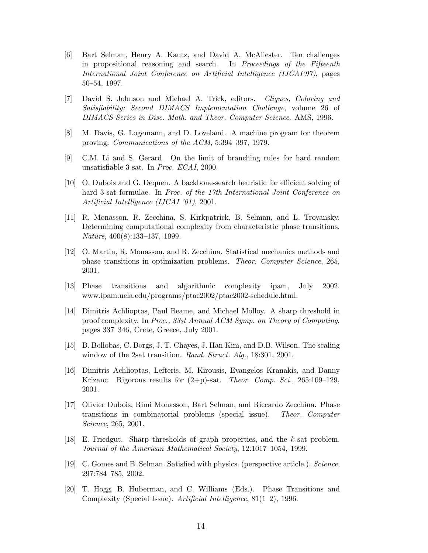- [6] Bart Selman, Henry A. Kautz, and David A. McAllester. Ten challenges in propositional reasoning and search. In Proceedings of the Fifteenth International Joint Conference on Artificial Intelligence (IJCAI'97), pages 50–54, 1997.
- [7] David S. Johnson and Michael A. Trick, editors. Cliques, Coloring and Satisfiability: Second DIMACS Implementation Challenge, volume 26 of DIMACS Series in Disc. Math. and Theor. Computer Science. AMS, 1996.
- [8] M. Davis, G. Logemann, and D. Loveland. A machine program for theorem proving. Communications of the ACM, 5:394–397, 1979.
- [9] C.M. Li and S. Gerard. On the limit of branching rules for hard random unsatisfiable 3-sat. In Proc. ECAI, 2000.
- [10] O. Dubois and G. Dequen. A backbone-search heuristic for efficient solving of hard 3-sat formulae. In Proc. of the 17th International Joint Conference on Artificial Intelligence (IJCAI '01), 2001.
- [11] R. Monasson, R. Zecchina, S. Kirkpatrick, B. Selman, and L. Troyansky. Determining computational complexity from characteristic phase transitions. Nature, 400(8):133–137, 1999.
- [12] O. Martin, R. Monasson, and R. Zecchina. Statistical mechanics methods and phase transitions in optimization problems. Theor. Computer Science, 265, 2001.
- [13] Phase transitions and algorithmic complexity ipam, July 2002. www.ipam.ucla.edu/programs/ptac2002/ptac2002-schedule.html.
- [14] Dimitris Achlioptas, Paul Beame, and Michael Molloy. A sharp threshold in proof complexity. In Proc., 33st Annual ACM Symp. on Theory of Computing, pages 337–346, Crete, Greece, July 2001.
- [15] B. Bollobas, C. Borgs, J. T. Chayes, J. Han Kim, and D.B. Wilson. The scaling window of the 2sat transition. Rand. Struct. Alg., 18:301, 2001.
- [16] Dimitris Achlioptas, Lefteris, M. Kirousis, Evangelos Kranakis, and Danny Krizanc. Rigorous results for  $(2+p)$ -sat. *Theor. Comp. Sci.*, 265:109–129, 2001.
- [17] Olivier Dubois, Rimi Monasson, Bart Selman, and Riccardo Zecchina. Phase transitions in combinatorial problems (special issue). Theor. Computer Science, 265, 2001.
- [18] E. Friedgut. Sharp thresholds of graph properties, and the k-sat problem. Journal of the American Mathematical Society, 12:1017–1054, 1999.
- [19] C. Gomes and B. Selman. Satisfied with physics. (perspective article.). Science, 297:784–785, 2002.
- [20] T. Hogg, B. Huberman, and C. Williams (Eds.). Phase Transitions and Complexity (Special Issue). Artificial Intelligence, 81(1–2), 1996.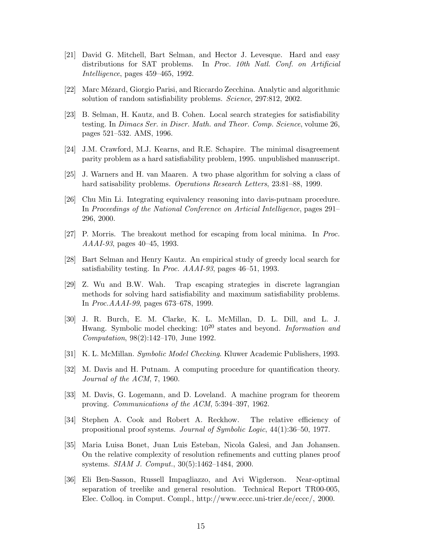- [21] David G. Mitchell, Bart Selman, and Hector J. Levesque. Hard and easy distributions for SAT problems. In Proc. 10th Natl. Conf. on Artificial Intelligence, pages 459–465, 1992.
- [22] Marc M´ezard, Giorgio Parisi, and Riccardo Zecchina. Analytic and algorithmic solution of random satisfiability problems. Science, 297:812, 2002.
- [23] B. Selman, H. Kautz, and B. Cohen. Local search strategies for satisfiability testing. In Dimacs Ser. in Discr. Math. and Theor. Comp. Science, volume 26, pages 521–532. AMS, 1996.
- [24] J.M. Crawford, M.J. Kearns, and R.E. Schapire. The minimal disagreement parity problem as a hard satisfiability problem, 1995. unpublished manuscript.
- [25] J. Warners and H. van Maaren. A two phase algorithm for solving a class of hard satisability problems. Operations Research Letters, 23:81–88, 1999.
- [26] Chu Min Li. Integrating equivalency reasoning into davis-putnam procedure. In Proceedings of the National Conference on Articial Intelligence, pages 291– 296, 2000.
- [27] P. Morris. The breakout method for escaping from local minima. In Proc. AAAI-93, pages 40–45, 1993.
- [28] Bart Selman and Henry Kautz. An empirical study of greedy local search for satisfiability testing. In Proc. AAAI-93, pages 46–51, 1993.
- [29] Z. Wu and B.W. Wah. Trap escaping strategies in discrete lagrangian methods for solving hard satisfiability and maximum satisfiability problems. In Proc.AAAI-99, pages 673–678, 1999.
- [30] J. R. Burch, E. M. Clarke, K. L. McMillan, D. L. Dill, and L. J. Hwang. Symbolic model checking:  $10^{20}$  states and beyond. *Information and* Computation, 98(2):142–170, June 1992.
- [31] K. L. McMillan. Symbolic Model Checking. Kluwer Academic Publishers, 1993.
- [32] M. Davis and H. Putnam. A computing procedure for quantification theory. Journal of the ACM, 7, 1960.
- [33] M. Davis, G. Logemann, and D. Loveland. A machine program for theorem proving. Communications of the ACM, 5:394–397, 1962.
- [34] Stephen A. Cook and Robert A. Reckhow. The relative efficiency of propositional proof systems. Journal of Symbolic Logic, 44(1):36–50, 1977.
- [35] Maria Luisa Bonet, Juan Luis Esteban, Nicola Galesi, and Jan Johansen. On the relative complexity of resolution refinements and cutting planes proof systems. SIAM J. Comput., 30(5):1462–1484, 2000.
- [36] Eli Ben-Sasson, Russell Impagliazzo, and Avi Wigderson. Near-optimal separation of treelike and general resolution. Technical Report TR00-005, Elec. Colloq. in Comput. Compl., http://www.eccc.uni-trier.de/eccc/, 2000.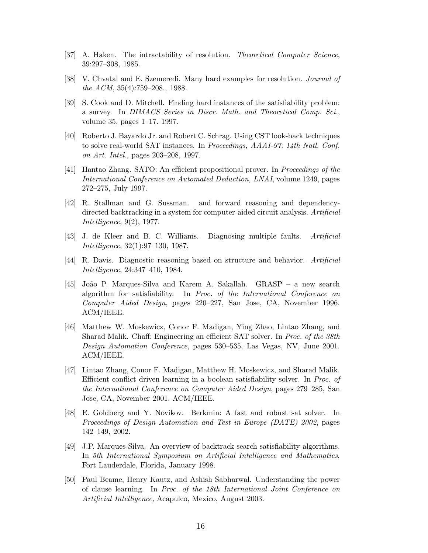- [37] A. Haken. The intractability of resolution. Theoretical Computer Science, 39:297–308, 1985.
- [38] V. Chvatal and E. Szemeredi. Many hard examples for resolution. Journal of the ACM, 35(4):759–208., 1988.
- [39] S. Cook and D. Mitchell. Finding hard instances of the satisfiability problem: a survey. In DIMACS Series in Discr. Math. and Theoretical Comp. Sci., volume 35, pages 1–17. 1997.
- [40] Roberto J. Bayardo Jr. and Robert C. Schrag. Using CST look-back techniques to solve real-world SAT instances. In Proceedings, AAAI-97: 14th Natl. Conf. on Art. Intel., pages 203–208, 1997.
- [41] Hantao Zhang. SATO: An efficient propositional prover. In Proceedings of the International Conference on Automated Deduction, LNAI, volume 1249, pages 272–275, July 1997.
- [42] R. Stallman and G. Sussman. and forward reasoning and dependencydirected backtracking in a system for computer-aided circuit analysis. Artificial Intelligence, 9(2), 1977.
- [43] J. de Kleer and B. C. Williams. Diagnosing multiple faults. Artificial Intelligence, 32(1):97–130, 1987.
- [44] R. Davis. Diagnostic reasoning based on structure and behavior. Artificial Intelligence, 24:347–410, 1984.
- [45] Jo˜ao P. Marques-Silva and Karem A. Sakallah. GRASP a new search algorithm for satisfiability. In Proc. of the International Conference on Computer Aided Design, pages 220–227, San Jose, CA, November 1996. ACM/IEEE.
- [46] Matthew W. Moskewicz, Conor F. Madigan, Ying Zhao, Lintao Zhang, and Sharad Malik. Chaff: Engineering an efficient SAT solver. In Proc. of the 38th Design Automation Conference, pages 530–535, Las Vegas, NV, June 2001. ACM/IEEE.
- [47] Lintao Zhang, Conor F. Madigan, Matthew H. Moskewicz, and Sharad Malik. Efficient conflict driven learning in a boolean satisfiability solver. In Proc. of the International Conference on Computer Aided Design, pages 279–285, San Jose, CA, November 2001. ACM/IEEE.
- [48] E. Goldberg and Y. Novikov. Berkmin: A fast and robust sat solver. In Proceedings of Design Automation and Test in Europe (DATE) 2002, pages 142–149, 2002.
- [49] J.P. Marques-Silva. An overview of backtrack search satisfiability algorithms. In 5th International Symposium on Artificial Intelligence and Mathematics, Fort Lauderdale, Florida, January 1998.
- [50] Paul Beame, Henry Kautz, and Ashish Sabharwal. Understanding the power of clause learning. In Proc. of the 18th International Joint Conference on Artificial Intelligence, Acapulco, Mexico, August 2003.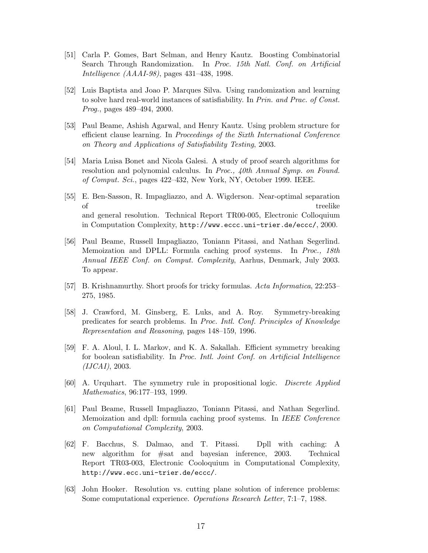- [51] Carla P. Gomes, Bart Selman, and Henry Kautz. Boosting Combinatorial Search Through Randomization. In Proc. 15th Natl. Conf. on Artificial Intelligence (AAAI-98), pages 431–438, 1998.
- [52] Luis Baptista and Joao P. Marques Silva. Using randomization and learning to solve hard real-world instances of satisfiability. In Prin. and Prac. of Const. Prog., pages 489–494, 2000.
- [53] Paul Beame, Ashish Agarwal, and Henry Kautz. Using problem structure for efficient clause learning. In Proceedings of the Sixth International Conference on Theory and Applications of Satisfiability Testing, 2003.
- [54] Maria Luisa Bonet and Nicola Galesi. A study of proof search algorithms for resolution and polynomial calculus. In Proc., 40th Annual Symp. on Found. of Comput. Sci., pages 422–432, New York, NY, October 1999. IEEE.
- [55] E. Ben-Sasson, R. Impagliazzo, and A. Wigderson. Near-optimal separation of treelike and general resolution. Technical Report TR00-005, Electronic Colloquium in Computation Complexity, http://www.eccc.uni-trier.de/eccc/, 2000.
- [56] Paul Beame, Russell Impagliazzo, Toniann Pitassi, and Nathan Segerlind. Memoization and DPLL: Formula caching proof systems. In Proc., 18th Annual IEEE Conf. on Comput. Complexity, Aarhus, Denmark, July 2003. To appear.
- [57] B. Krishnamurthy. Short proofs for tricky formulas. Acta Informatica, 22:253– 275, 1985.
- [58] J. Crawford, M. Ginsberg, E. Luks, and A. Roy. Symmetry-breaking predicates for search problems. In Proc. Intl. Conf. Principles of Knowledge Representation and Reasoning, pages 148–159, 1996.
- [59] F. A. Aloul, I. L. Markov, and K. A. Sakallah. Efficient symmetry breaking for boolean satisfiability. In Proc. Intl. Joint Conf. on Artificial Intelligence (IJCAI), 2003.
- [60] A. Urquhart. The symmetry rule in propositional logic. Discrete Applied Mathematics, 96:177–193, 1999.
- [61] Paul Beame, Russell Impagliazzo, Toniann Pitassi, and Nathan Segerlind. Memoization and dpll: formula caching proof systems. In IEEE Conference on Computational Complexity, 2003.
- [62] F. Bacchus, S. Dalmao, and T. Pitassi. Dpll with caching: A new algorithm for #sat and bayesian inference, 2003. Technical Report TR03-003, Electronic Cooloquium in Computational Complexity, http://www.ecc.uni-trier.de/eccc/.
- [63] John Hooker. Resolution vs. cutting plane solution of inference problems: Some computational experience. Operations Research Letter, 7:1–7, 1988.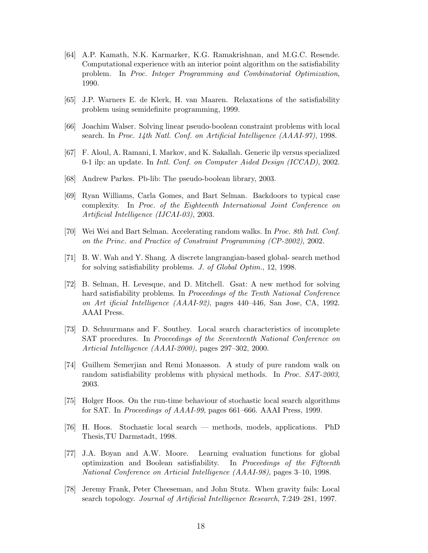- [64] A.P. Kamath, N.K. Karmarker, K.G. Ramakrishnan, and M.G.C. Resende. Computational experience with an interior point algorithm on the satisfiability problem. In Proc. Integer Programming and Combinatorial Optimization, 1990.
- [65] J.P. Warners E. de Klerk, H. van Maaren. Relaxations of the satisfiability problem using semidefinite programming, 1999.
- [66] Joachim Walser. Solving linear pseudo-boolean constraint problems with local search. In Proc. 14th Natl. Conf. on Artificial Intelligence (AAAI-97), 1998.
- [67] F. Aloul, A. Ramani, I. Markov, and K. Sakallah. Generic ilp versus specialized 0-1 ilp: an update. In Intl. Conf. on Computer Aided Design (ICCAD), 2002.
- [68] Andrew Parkes. Pb-lib: The pseudo-boolean library, 2003.
- [69] Ryan Williams, Carla Gomes, and Bart Selman. Backdoors to typical case complexity. In Proc. of the Eighteenth International Joint Conference on Artificial Intelligence (IJCAI-03), 2003.
- [70] Wei Wei and Bart Selman. Accelerating random walks. In Proc. 8th Intl. Conf. on the Princ. and Practice of Constraint Programming (CP-2002), 2002.
- [71] B. W. Wah and Y. Shang. A discrete langrangian-based global- search method for solving satisfiability problems. J. of Global Optim., 12, 1998.
- [72] B. Selman, H. Levesque, and D. Mitchell. Gsat: A new method for solving hard satisfiability problems. In *Proceedings of the Tenth National Conference* on Art ificial Intelligence (AAAI-92), pages 440–446, San Jose, CA, 1992. AAAI Press.
- [73] D. Schuurmans and F. Southey. Local search characteristics of incomplete SAT procedures. In Proceedings of the Seventeenth National Conference on Articial Intelligence (AAAI-2000), pages 297–302, 2000.
- [74] Guilhem Semerjian and Remi Monasson. A study of pure random walk on random satisfiability problems with physical methods. In Proc. SAT-2003, 2003.
- [75] Holger Hoos. On the run-time behaviour of stochastic local search algorithms for SAT. In Proceedings of AAAI-99, pages 661–666. AAAI Press, 1999.
- [76] H. Hoos. Stochastic local search methods, models, applications. PhD Thesis,TU Darmstadt, 1998.
- [77] J.A. Boyan and A.W. Moore. Learning evaluation functions for global optimization and Boolean satisfiability. In Proceedings of the Fifteenth National Conference on Articial Intelligence (AAAI-98), pages 3–10, 1998.
- [78] Jeremy Frank, Peter Cheeseman, and John Stutz. When gravity fails: Local search topology. Journal of Artificial Intelligence Research, 7:249–281, 1997.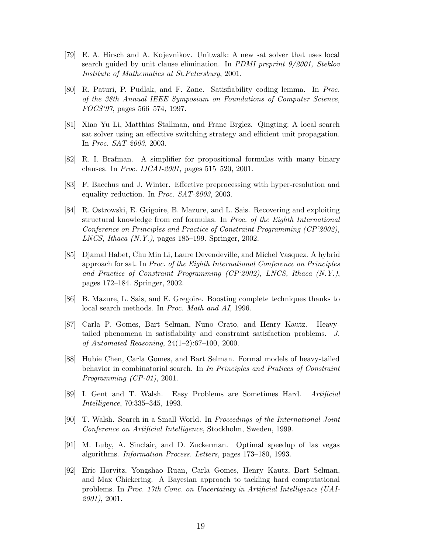- [79] E. A. Hirsch and A. Kojevnikov. Unitwalk: A new sat solver that uses local search guided by unit clause elimination. In PDMI preprint 9/2001, Steklov Institute of Mathematics at St.Petersburg, 2001.
- [80] R. Paturi, P. Pudlak, and F. Zane. Satisfiability coding lemma. In Proc. of the 38th Annual IEEE Symposium on Foundations of Computer Science, FOCS'97, pages 566–574, 1997.
- [81] Xiao Yu Li, Matthias Stallman, and Franc Brglez. Qingting: A local search sat solver using an effective switching strategy and efficient unit propagation. In Proc. SAT-2003, 2003.
- [82] R. I. Brafman. A simplifier for propositional formulas with many binary clauses. In Proc. IJCAI-2001, pages 515–520, 2001.
- [83] F. Bacchus and J. Winter. Effective preprocessing with hyper-resolution and equality reduction. In Proc. SAT-2003, 2003.
- [84] R. Ostrowski, E. Grigoire, B. Mazure, and L. Sais. Recovering and exploiting structural knowledge from cnf formulas. In Proc. of the Eighth International Conference on Principles and Practice of Constraint Programming (CP'2002), LNCS, Ithaca (N.Y.), pages 185–199. Springer, 2002.
- [85] Djamal Habet, Chu Min Li, Laure Devendeville, and Michel Vasquez. A hybrid approach for sat. In Proc. of the Eighth International Conference on Principles and Practice of Constraint Programming (CP'2002), LNCS, Ithaca (N.Y.), pages 172–184. Springer, 2002.
- [86] B. Mazure, L. Sais, and E. Gregoire. Boosting complete techniques thanks to local search methods. In Proc. Math and AI, 1996.
- [87] Carla P. Gomes, Bart Selman, Nuno Crato, and Henry Kautz. Heavytailed phenomena in satisfiability and constraint satisfaction problems. J. of Automated Reasoning, 24(1–2):67–100, 2000.
- [88] Hubie Chen, Carla Gomes, and Bart Selman. Formal models of heavy-tailed behavior in combinatorial search. In In Principles and Pratices of Constraint Programming  $(CP-01)$ , 2001.
- [89] I. Gent and T. Walsh. Easy Problems are Sometimes Hard. Artificial Intelligence, 70:335–345, 1993.
- [90] T. Walsh. Search in a Small World. In Proceedings of the International Joint Conference on Artificial Intelligence, Stockholm, Sweden, 1999.
- [91] M. Luby, A. Sinclair, and D. Zuckerman. Optimal speedup of las vegas algorithms. Information Process. Letters, pages 173–180, 1993.
- [92] Eric Horvitz, Yongshao Ruan, Carla Gomes, Henry Kautz, Bart Selman, and Max Chickering. A Bayesian approach to tackling hard computational problems. In Proc. 17th Conc. on Uncertainty in Artificial Intelligence (UAI-2001), 2001.